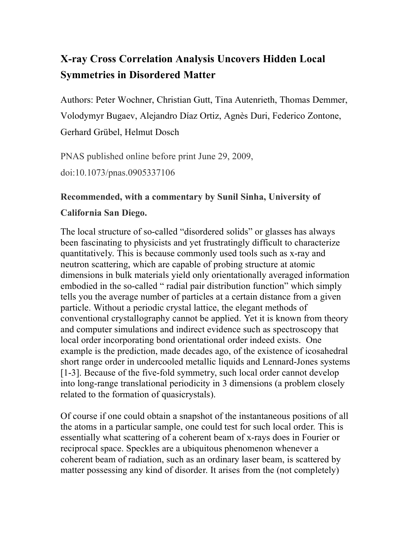## **X-ray Cross Correlation Analysis Uncovers Hidden Local Symmetries in Disordered Matter**

Authors: Peter Wochner, Christian Gutt, Tina Autenrieth, Thomas Demmer, Volodymyr Bugaev, Alejandro Díaz Ortiz, Agnès Duri, Federico Zontone, Gerhard Grübel, Helmut Dosch

PNAS published online before print June 29, 2009, doi:10.1073/pnas.0905337106

## **Recommended, with a commentary by Sunil Sinha, University of**

## **California San Diego.**

The local structure of so-called "disordered solids" or glasses has always been fascinating to physicists and yet frustratingly difficult to characterize quantitatively. This is because commonly used tools such as x-ray and neutron scattering, which are capable of probing structure at atomic dimensions in bulk materials yield only orientationally averaged information embodied in the so-called " radial pair distribution function" which simply tells you the average number of particles at a certain distance from a given particle. Without a periodic crystal lattice, the elegant methods of conventional crystallography cannot be applied. Yet it is known from theory and computer simulations and indirect evidence such as spectroscopy that local order incorporating bond orientational order indeed exists. One example is the prediction, made decades ago, of the existence of icosahedral short range order in undercooled metallic liquids and Lennard-Jones systems [1-3]. Because of the five-fold symmetry, such local order cannot develop into long-range translational periodicity in 3 dimensions (a problem closely related to the formation of quasicrystals).

Of course if one could obtain a snapshot of the instantaneous positions of all the atoms in a particular sample, one could test for such local order. This is essentially what scattering of a coherent beam of x-rays does in Fourier or reciprocal space. Speckles are a ubiquitous phenomenon whenever a coherent beam of radiation, such as an ordinary laser beam, is scattered by matter possessing any kind of disorder. It arises from the (not completely)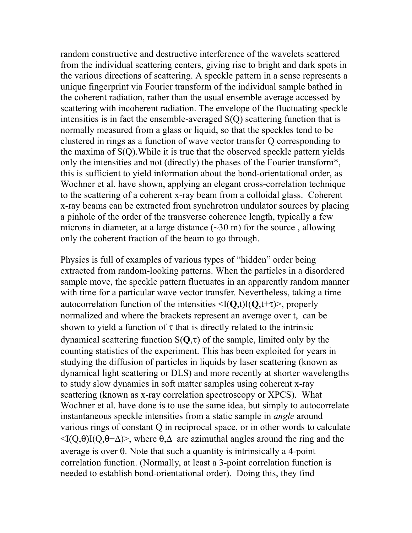random constructive and destructive interference of the wavelets scattered from the individual scattering centers, giving rise to bright and dark spots in the various directions of scattering. A speckle pattern in a sense represents a unique fingerprint via Fourier transform of the individual sample bathed in the coherent radiation, rather than the usual ensemble average accessed by scattering with incoherent radiation. The envelope of the fluctuating speckle intensities is in fact the ensemble-averaged S(Q) scattering function that is normally measured from a glass or liquid, so that the speckles tend to be clustered in rings as a function of wave vector transfer Q corresponding to the maxima of S(Q).While it is true that the observed speckle pattern yields only the intensities and not (directly) the phases of the Fourier transform\*, this is sufficient to yield information about the bond-orientational order, as Wochner et al. have shown, applying an elegant cross-correlation technique to the scattering of a coherent x-ray beam from a colloidal glass. Coherent x-ray beams can be extracted from synchrotron undulator sources by placing a pinhole of the order of the transverse coherence length, typically a few microns in diameter, at a large distance  $(\sim 30 \text{ m})$  for the source, allowing only the coherent fraction of the beam to go through.

Physics is full of examples of various types of "hidden" order being extracted from random-looking patterns. When the particles in a disordered sample move, the speckle pattern fluctuates in an apparently random manner with time for a particular wave vector transfer. Nevertheless, taking a time autocorrelation function of the intensities  $\langle I(Q,t)I(Q,t+\tau)\rangle$ , properly normalized and where the brackets represent an average over t, can be shown to yield a function of  $\tau$  that is directly related to the intrinsic dynamical scattering function  $S(Q, \tau)$  of the sample, limited only by the counting statistics of the experiment. This has been exploited for years in studying the diffusion of particles in liquids by laser scattering (known as dynamical light scattering or DLS) and more recently at shorter wavelengths to study slow dynamics in soft matter samples using coherent x-ray scattering (known as x-ray correlation spectroscopy or XPCS). What Wochner et al. have done is to use the same idea, but simply to autocorrelate instantaneous speckle intensities from a static sample in *angle* around various rings of constant Q in reciprocal space, or in other words to calculate  $\langle I(Q, \theta)I(Q, \theta+\Delta) \rangle$ , where  $\theta, \Delta$  are azimuthal angles around the ring and the average is over  $\theta$ . Note that such a quantity is intrinsically a 4-point correlation function. (Normally, at least a 3-point correlation function is needed to establish bond-orientational order). Doing this, they find